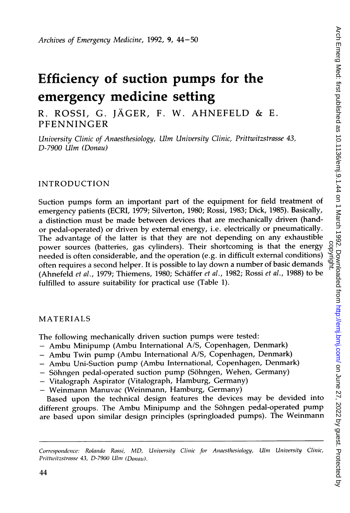# Efficiency of suction pumps for the emergency medicine setting

R. ROSSI, G. JAGER, F. W. AHNEFELD & E. PFENNINGER

University Clinic of Anaesthesiology, Ulm University Clinic, Prittwitzstrasse 43, D-7900 Ulm (Donau)

## INTRODUCTION

Suction pumps form an important part of the equipment for field treatment of emergency patients (ECRI, 1979; Silverton, 1980; Rossi, 1983; Dick, 1985). Basically, a distinction must be made between devices that are mechanically driven (handor pedal-operated) or driven by external energy, i.e. electrically or pneumatically. The advantage of the latter is that they are not depending on any exhaustible power sources (batteries, gas cylinders). Their shortcoming is that the energy needed is often considerable, and the operation (e.g. in difficult external conditions) often requires <sup>a</sup> second helper. It is possible to lay down <sup>a</sup> number of basic demands (Ahnefeld et al., 1979; Thiemens, 1980; Schaffer et al., 1982; Rossi et al., 1988) to be fulfilled to assure suitability for practical use (Table 1).

### MATERIALS

The following mechanically driven suction pumps were tested:

- Ambu Minipump (Ambu International A/S, Copenhagen, Denmark)
- Ambu Twin pump (Ambu International A/S, Copenhagen, Denmark)
- Ambu Uni-Suction pump (Ambu International, Copenhagen, Denmark)
- Söhngen pedal-operated suction pump (Söhngen, Wehen, Germany)
- Vitalograph Aspirator (Vitalograph, Hamburg, Germany)
- Weinmann Manuvac (Weinmann, Hamburg, Germany)

Based upon the technical design features the devices may be devided into different groups. The Ambu Minipump and the Sohngen pedal-operated pump are based upon similar design principles (springloaded pumps). The Weinmann

Correspondence: Rolando Rossi, MD, University Clinic for Anaesthesiology, Ulm University Clinic, Prittwitzstrasse 43, D-7900 Ulm (Donau).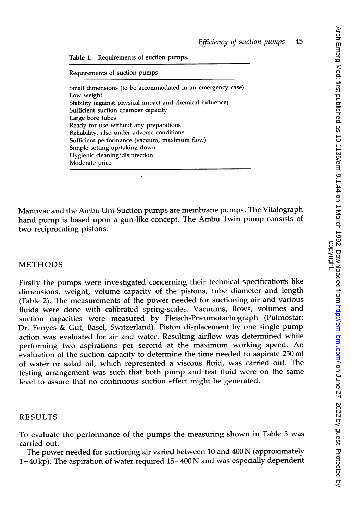Table 1. Requirements of suction pumps.

Requirements of suction pumps

Small dimensions (to be accommodated in an emergency case) Low weight Stability (against physical impact and chemical influence) Sufficient suction chamber capacity Large bore tubes Ready for use without any preparations Reliability, also under adverse conditions Sufficient performance (vacuum, maximum flow) Simple setting-up/taking down Hygienic cleaning/disinfection Moderate price

J.

Manuvac and the Ambu Uni-Suction pumps are membrane pumps. The Vitalograph hand pump is based upon <sup>a</sup> gun-like concept. The Ambu Twin pump consists of two reciprocating pistons.

## METHODS

Firstly the pumps were investigated concerning their technical specification's like dimensions, weight, volume capacity of the pistons, tube diameter and length (Table 2). The measurements of the power needed for suctioning air and various fluids were done with calibrated spring-scales. Vacuums, flows, volumes and suction capacities were measured by Fleisch-Pneumotachograph (Pulmostar: Dr. Fenyes & Gut, Basel, Switzerland). Piston displacement by one single pump action was evaluated for air and water. Resulting airflow was determined while performing two aspirations per second at the maximum working speed. An evaluation of the suction capacity to determine the time needed to aspirate 250 ml of water or salad oil, which represented <sup>a</sup> viscous fluid, was carried out. The testing arrangement was such that both pump and test fluid were on the same level to assure that no continuous suction effect might be generated.

#### RESULTS

To evaluate the performance of the pumps the measuring shown in Table <sup>3</sup> was carried out.

The power needed for suctioning air varied between <sup>10</sup> and <sup>400</sup> N (approximately  $1-40$  kp). The aspiration of water required  $15-400$  N and was especially dependent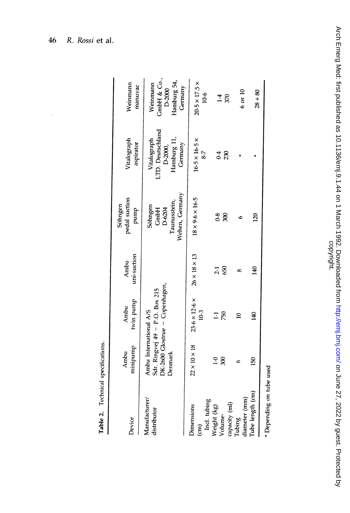| Device                                                    | minipump<br>Ambu                  | twin pump<br>Ambu                                                | uni-suction<br>Ambu      | pedal suction<br>Söhngen<br>pump                            | Vitalograph<br>aspirator                                             | Weinmann<br>manuvac                                         |
|-----------------------------------------------------------|-----------------------------------|------------------------------------------------------------------|--------------------------|-------------------------------------------------------------|----------------------------------------------------------------------|-------------------------------------------------------------|
| Manufacturer/<br>distributor                              | Ambu International A/S<br>Denmark | DK-2600 Glostrue - Copenhagen,<br>Sdr. Ringvej 49 - P.O. Box 215 |                          | Wehen, Germany<br>Taunusstein,<br>Söhngen<br>D-6204<br>GmbH | .TD. Deutschland<br>Hamburg 11,<br>Vitalograph<br>Germany<br>D-2000, | CmbH & Co.,<br>Hamburg 54,<br>Weinmann<br>Germany<br>D-2000 |
| Incl. tubing<br><b>Dimensions</b><br>$\widehat{\epsilon}$ | $22\times10\times18$              | $23.6 \times 12.6 \times$<br>10.3                                | $26 \times 18 \times 13$ | $18 \times 9.6 \times 16.5$                                 | $16.5 \times 16.5 \times$<br>8:7                                     | $20.5 \times 17.5 \times$<br>10.6                           |
| capacity (ml)<br>Weight (kg)<br>Volume-                   | 300<br>$\ddot{ }$                 | 750<br>Ξ                                                         | 650<br>2.1               | $\ddot{\text{o}}$<br>300                                    | 230<br>0.4                                                           | 370<br>1.4                                                  |
| diameter (mm)<br>Tubing                                   |                                   | ≘                                                                | œ                        |                                                             |                                                                      | $6$ or $10$                                                 |
| Tube length (cm)                                          | <b>S</b>                          | $\frac{40}{5}$                                                   | $\frac{1}{4}$            | 20                                                          |                                                                      | $28 + 80$                                                   |
| * Depending on tube used                                  |                                   |                                                                  |                          |                                                             |                                                                      |                                                             |

ő  $^{\mathrm{e}}$ Q $\tilde{=}$  Arch Emerg Med: first published as 10.1136/emj.9.1.44 on 1 March 1992. Downloaded from http://emj.bmj.com/ on June 27, 2022 by guest. Protected by<br>copyright. Arch Emerg Med: first published as 10.1136/emj.9.1.44 on 1 March 1992. Downloaded from http://emj.com/ on 1992. Downloaded from the strated by auth 27, 2022 by guest. Protected by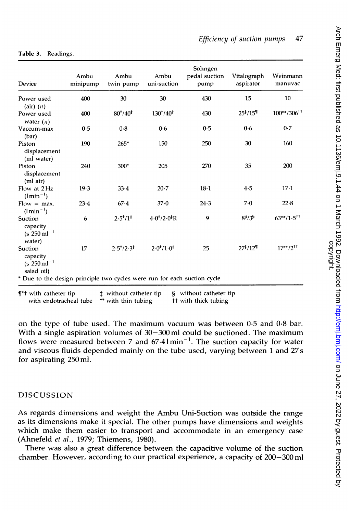| Device                                                                   | Ambu<br>minipump | Ambu<br>twin pump | Ambu<br>uni-suction | Söhngen<br>pedal suction<br>pump | Vitalograph<br>aspirator          | Weinmann<br>manuvac     |
|--------------------------------------------------------------------------|------------------|-------------------|---------------------|----------------------------------|-----------------------------------|-------------------------|
| Power used<br>$(air)$ $(n)$                                              | 400              | 30                | 30                  | 430                              | 15                                | 10                      |
| Power used<br>water $(n)$                                                | 400              | $80^{+}/40^{+}$   | $130^{+}/40^{+}$    | 430                              | 25 <sup>†</sup> /15 <sup>¶</sup>  | $100^{**}/306^{**}$     |
| Vaccum-max<br>(bar)                                                      | 0.5              | 0.8               | 0.6                 | 0.5                              | 0.6                               | 0.7                     |
| Piston<br>displacement<br>(ml water)                                     | 190              | $265*$            | 150                 | 250                              | 30                                | 160                     |
| Piston<br>displacement<br>(ml air)                                       | 240              | 300*              | 205                 | 270                              | 35                                | 200                     |
| Flow at 2Hz<br>$(l \min^{-1})$                                           | 19.3             | 33.4              | 20.7                | $18 - 1$                         | 4.5                               | $17-1$                  |
| $Flow = max.$<br>$(l \min^{-1})$                                         | 23.4             | 67.4              | 37.0                | 24.3                             | 7.0                               | 22.8                    |
| Suction<br>capacity<br>$(s.250 \,\mathrm{ml}^{-1})$<br>water)            | 6                | $2.5^{+}/1^{+}$   | $4.0^{+}/2.0^{+}R$  | 9                                | $8^{\frac{5}{3}}/3^{\frac{5}{3}}$ | $63**/1.5^{++}$         |
| Suction<br>capacity<br>$(s 250 \,\mathrm{ml}^{-1})$<br>salad oil)        | 17               | $2.5^{+}/2.3^{+}$ | $2.0^{+}/1.0^{+}$   | 25                               | 27 <sup>‡</sup> /12 <sup>¶</sup>  | $17***/2$ <sup>++</sup> |
| * Due to the design principle two cycles were run for each suction cycle |                  |                   |                     |                                  |                                   |                         |

#### Table 3. Readings.

 $\P^*$ t with catheter tip  $\P^*$ t without catheter tip with endotracheal tube \*\* with thin tubing § without catheter tip tt with thick tubing

on the type of tube used. The maximum vacuum was between 0-5 and 0.8 bar. With a single aspiration volumes of  $30-300$  ml could be suctioned. The maximum flows were measured between 7 and  $67.41$  min<sup>-1</sup>. The suction capacity for water and viscous fluids depended mainly on the tube used, varying between <sup>1</sup> and 27s for aspirating 250 ml.

## DISCUSSION

As regards dimensions and weight the Ambu Uni-Suction was outside the range as its dimensions make it special. The other pumps have dimensions and weights which make them easier to transport and accommodate in an emergency case (Ahnefeld et al., 1979; Thiemens, 1980).

There was also a great difference between the capacitive volume of the suction chamber. However, according to our practical experience, a capacity of 200-300 ml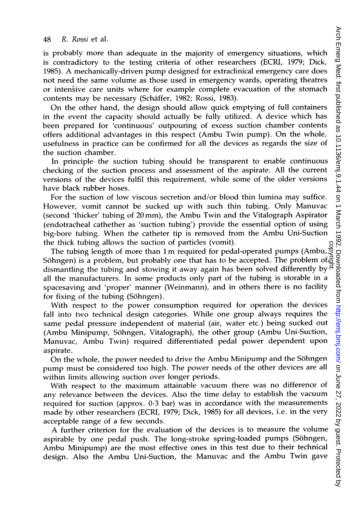is probably more than adequate in the majority of emergency situations, which is contradictory to the testing criteria of other researchers (ECRI, 1979; Dick, 1985). A mechanically-driven pump designed for extraclinical emergency care does not need the same volume as those used in emergency wards, operating theatres or intensive care units where for example complete evacuation of the stomach contents may be necessary (Schaffer, 1982; Rossi, 1983).

On the other hand, the design should allow quick emptying of full containers in the event the capacity should actually be fully utilized. A device which has been prepared for 'continuous' outpouring of excess suction chamber contents offers additional advantages in this respect (Ambu Twin pump). On the whole, usefulness in practice can be confirmed for all the devices as regards the size of the suction chamber.

In principle the suction tubing should be transparent to enable continuous checking of the suction process and assessment of the aspirate. All the current versions of the devices fulfil this requirement, while some of the older versions have black rubber hoses.

For the suction of low viscous secretion and/or blood thin lumina may suffice. However, vomit cannot be sucked up with such thin tubing. Only Manuvac (second 'thicker' tubing of 20mm), the Ambu Twin and the Vitalograph Aspirator (endotracheal cathether as 'suction tubing') provide the essential option of using big-bore tubing. When the catheter tip is removed from the Ambu Uni-Suction the thick tubing allows the suction of particles (vomit).

The tubing length of more than <sup>1</sup> m required for pedal-operated pumps (Ambu, For the thing allows the suction of particles (vomit).<br>The tubing length of more than 1 m required for pedal-operated pumps (Ambu, gy<br>Söhngen) is a problem, but probably one that has to be accepted. The problem of  $\vec{G}$ <br> dismantling the tubing and stowing it away again has been solved differently by  $\overline{P}$ all the manufacturers. In some products only part of the tubing is storable in a spacesaving and 'proper' manner (Weinmann), and in others there is no facility for fixing of the tubing (Sohngen).

With respect to the power consumption required for operation the devices fall into two technical design categories. While one group always requires the same pedal pressure independent of material (air, water etc.) being sucked out (Ambu Minipump, Sohngen, Vitalograph), the other group (Ambu Uni-Suction, Manuvac, Ambu Twin) required differentiated pedal power dependent upon aspirate.

On the whole, the power needed to drive the Ambu Minipump and the Sohngen pump must be considered too high. The power needs of the other devices are all within limits allowing suction over longer periods.

With respect to the maximum attainable vacuum there was no difference of any relevance between the devices. Also the time delay to establish the vacuum required for suction (approx. 0.3 bar) was in accordance with the measurements made by other researchers (ECRI, 1979; Dick, 1985) for all devices, i.e. in the very acceptable range of a few seconds.

A further criterion for the evaluation of the devices is to measure the volume aspirable by one pedal push. The long-stroke spring-loaded pumps (Söhngen, Ambu Minipump) are the most effective ones in this test due to their technical design. Also the Ambu Uni-Suction, the Manuvac and the Ambu Twin gave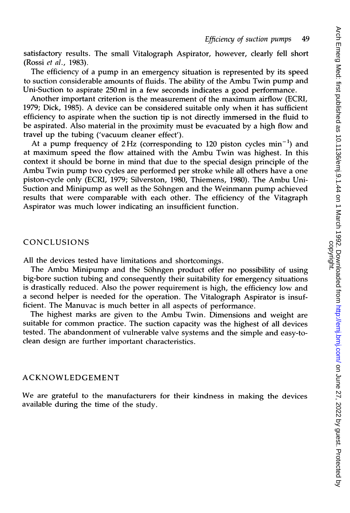satisfactory results. The small Vitalograph Aspirator, however, clearly fell short (Rossi et al., 1983).

The efficiency of <sup>a</sup> pump in an emergency situation is represented by its speed to suction considerable amounts of fluids. The ability of the Ambu Twin pump and Uni-Suction to aspirate 250ml in a few seconds indicates a good performance.

Another important criterion is the measurement of the maximum airflow (ECRI, 1979; Dick, 1985). A device can be considered suitable only when it has sufficient efficiency to aspirate when the suction tip is not directly immersed in the fluid to be aspirated. Also material in the proximity must be evacuated by a high flow and travel up the tubing ('vacuum cleaner effect').

At a pump frequency of 2Hz (corresponding to 120 piston cycles  $min^{-1}$ ) and at maximum speed the flow attained with the Ambu Twin was highest. In this context it should be borne in mind that due to the special design principle of the Ambu Twin pump two cycles are performed per stroke while all others have <sup>a</sup> one piston-cycle only (ECRI, 1979; Silverston, 1980, Thiemens, 1980). The Ambu Uni-Suction and Minipump as well as the Sohngen and the Weinmann pump achieved results that were comparable with each other. The efficiency of the Vitagraph Aspirator was much lower indicating an insufficient function.

## CONCLUSIONS

All the devices tested have limitations and shortcomings.

The Ambu Minipump and the Sohngen product offer no possibility of using big-bore suction tubing and consequently their suitability for emergency situations is drastically reduced. Also the power requirement is high, the efficiency low and a second helper is needed for the operation. The Vitalograph Aspirator is insufficient. The Manuvac is much better in all aspects of performance.

The highest marks are given to the Ambu Twin. Dimensions and weight are suitable for common practice. The suction capacity was the highest of all devices tested. The abandonment of vulnerable valve systems and the simple and easy-toclean design are further important characteristics.

## ACKNOWLEDGEMENT

We are grateful to the manufacturers for their kindness in making the devices available during the time of the study.